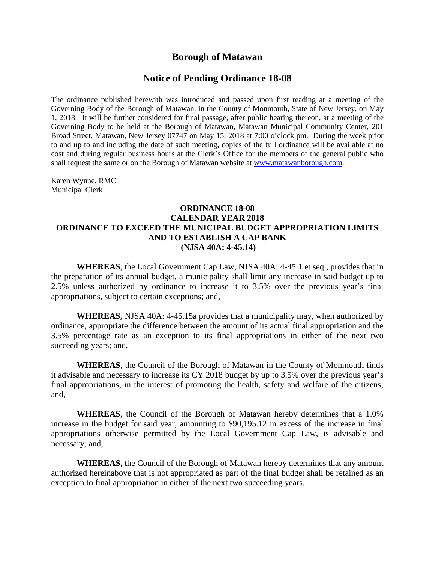## **Borough of Matawan**

## **Notice of Pending Ordinance 18-08**

The ordinance published herewith was introduced and passed upon first reading at a meeting of the Governing Body of the Borough of Matawan, in the County of Monmouth, State of New Jersey, on May 1, 2018. It will be further considered for final passage, after public hearing thereon, at a meeting of the Governing Body to be held at the Borough of Matawan, Matawan Municipal Community Center, 201 Broad Street, Matawan, New Jersey 07747 on May 15, 2018 at 7:00 o'clock pm. During the week prior to and up to and including the date of such meeting, copies of the full ordinance will be available at no cost and during regular business hours at the Clerk's Office for the members of the general public who shall request the same or on the Borough of Matawan website at [www.matawanborough.com.](http://www.matawanborough.com/)

Karen Wynne, RMC Municipal Clerk

## **ORDINANCE 18-08 CALENDAR YEAR 2018 ORDINANCE TO EXCEED THE MUNICIPAL BUDGET APPROPRIATION LIMITS AND TO ESTABLISH A CAP BANK (NJSA 40A: 4-45.14)**

**WHEREAS**, the Local Government Cap Law, NJSA 40A: 4-45.1 et seq., provides that in the preparation of its annual budget, a municipality shall limit any increase in said budget up to 2.5% unless authorized by ordinance to increase it to 3.5% over the previous year's final appropriations, subject to certain exceptions; and,

**WHEREAS,** NJSA 40A: 4-45.15a provides that a municipality may, when authorized by ordinance, appropriate the difference between the amount of its actual final appropriation and the 3.5% percentage rate as an exception to its final appropriations in either of the next two succeeding years; and,

**WHEREAS**, the Council of the Borough of Matawan in the County of Monmouth finds it advisable and necessary to increase its CY 2018 budget by up to 3.5% over the previous year's final appropriations, in the interest of promoting the health, safety and welfare of the citizens; and,

**WHEREAS**, the Council of the Borough of Matawan hereby determines that a 1.0% increase in the budget for said year, amounting to \$90,195.12 in excess of the increase in final appropriations otherwise permitted by the Local Government Cap Law, is advisable and necessary; and,

**WHEREAS,** the Council of the Borough of Matawan hereby determines that any amount authorized hereinabove that is not appropriated as part of the final budget shall be retained as an exception to final appropriation in either of the next two succeeding years.